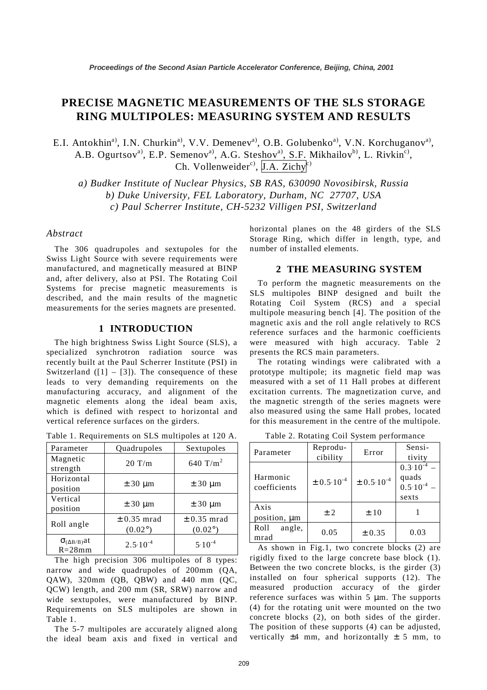# **PRECISE MAGNETIC MEASUREMENTS OF THE SLS STORAGE RING MULTIPOLES: MEASURING SYSTEM AND RESULTS**

E.I. Antokhin<sup>a)</sup>, I.N. Churkin<sup>a)</sup>, V.V. Demenev<sup>a)</sup>, O.B. Golubenko<sup>a)</sup>, V.N. Korchuganov<sup>a</sup>), A.B. Ogurtsov<sup>a</sup>, E.P. Semenov<sup>a</sup>, A.G. Steshov<sup>a</sup>, S.F. Mikhailov<sup>b</sup>, L. Rivkin<sup>c</sup>), Ch. Vollenweider<sup>c)</sup>,  $[I.A.$  Zichy<sup>c)</sup>

*a) Budker Institute of Nuclear Physics, SB RAS, 630090 Novosibirsk, Russia b) Duke University, FEL Laboratory, Durham, NC 27707, USA c) Paul Scherrer Institute, CH-5232 Villigen PSI, Switzerland*

#### *Abstract*

The 306 quadrupoles and sextupoles for the Swiss Light Source with severe requirements were manufactured, and magnetically measured at BINP and, after delivery, also at PSI. The Rotating Coil Systems for precise magnetic measurements is described, and the main results of the magnetic measurements for the series magnets are presented.

#### **1 INTRODUCTION**

The high brightness Swiss Light Source (SLS), a specialized synchrotron radiation source was recently built at the Paul Scherrer Institute (PSI) in Switzerland  $(11 - 31)$ . The consequence of these leads to very demanding requirements on the manufacturing accuracy, and alignment of the magnetic elements along the ideal beam axis, which is defined with respect to horizontal and vertical reference surfaces on the girders.

| Parameter                           | Quadrupoles                         | Sextupoles                          |  |
|-------------------------------------|-------------------------------------|-------------------------------------|--|
| Magnetic<br>strength                | $20$ T/m                            | 640 T/m <sup>2</sup>                |  |
| Horizontal<br>position              | $\pm$ 30 µm                         | $\pm$ 30 µm                         |  |
| Vertical<br>position                | $\pm$ 30 µm                         | $\pm$ 30 µm                         |  |
| Roll angle                          | $\pm$ 0.35 mrad<br>$(0.02^{\circ})$ | $\pm$ 0.35 mrad<br>$(0.02^{\circ})$ |  |
| $\sigma_{(AB/B)}$ at<br>$R = 28$ mm | $2.5 \cdot 10^{-4}$                 | $5.10^{-4}$                         |  |

Table 1. Requirements on SLS multipoles at 120 A.

The high precision 306 multipoles of 8 types: narrow and wide quadrupoles of 200mm (QA, QAW), 320mm (QB, QBW) and 440 mm (QC, QCW) length, and 200 mm (SR, SRW) narrow and wide sextupoles, were manufactured by BINP. Requirements on SLS multipoles are shown in Table 1.

The 5-7 multipoles are accurately aligned along the ideal beam axis and fixed in vertical and horizontal planes on the 48 girders of the SLS Storage Ring, which differ in length, type, and number of installed elements.

## **2 THE MEASURING SYSTEM**

To perform the magnetic measurements on the SLS multipoles BINP designed and built the Rotating Coil System (RCS) and a special multipole measuring bench [4]. The position of the magnetic axis and the roll angle relatively to RCS reference surfaces and the harmonic coefficients were measured with high accuracy. Table 2 presents the RCS main parameters.

The rotating windings were calibrated with a prototype multipole; its magnetic field map was measured with a set of 11 Hall probes at different excitation currents. The magnetization curve, and the magnetic strength of the series magnets were also measured using the same Hall probes, located for this measurement in the centre of the multipole.

| Parameter                | Reprodu-<br>cibility | Error               | Sensi-<br>tivity                                             |  |
|--------------------------|----------------------|---------------------|--------------------------------------------------------------|--|
| Harmonic<br>coefficients | $\pm 0.5.10^{-4}$    | $\pm$ 0.5 $10^{-4}$ | $0.3 \cdot 10^{-7}$<br>quads<br>$0.5 \cdot 10^{-4}$<br>sexts |  |
| Axis<br>position, µm     | ± 2                  | ±10                 |                                                              |  |
| Roll<br>angle,<br>mrad   | 0.05                 | ± 0.35              | 0.03                                                         |  |

Table 2. Rotating Coil System performance

As shown in Fig.1, two concrete blocks (2) are rigidly fixed to the large concrete base block (1). Between the two concrete blocks, is the girder (3) installed on four spherical supports (12). The measured production accuracy of the girder reference surfaces was within  $5 \mu m$ . The supports (4) for the rotating unit were mounted on the two concrete blocks (2), on both sides of the girder. The position of these supports (4) can be adjusted, vertically  $\pm 4$  mm, and horizontally  $\pm 5$  mm, to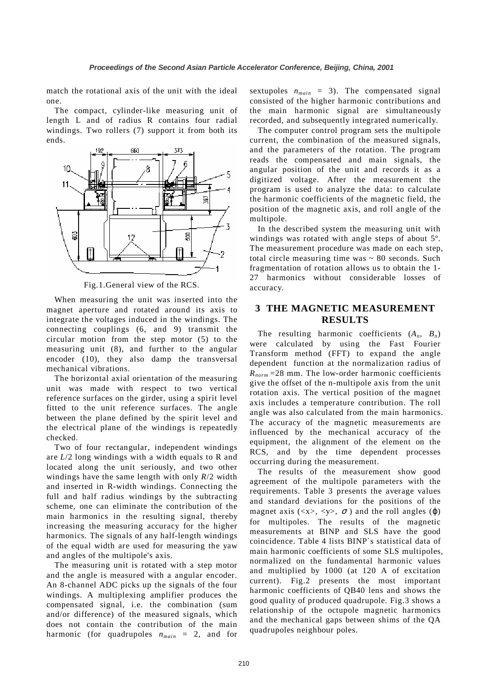match the rotational axis of the unit with the ideal one.

The compact, cylinder-like measuring unit of length L and of radius R contains four radial windings. Two rollers (7) support it from both its ends.



Fig.1.General view of the RCS.

When measuring the unit was inserted into the magnet aperture and rotated around its axis to integrate the voltages induced in the windings. The connecting couplings (6, and 9) transmit the circular motion from the step motor (5) to the measuring unit (8), and further to the angular encoder (10), they also damp the transversal mechanical vibrations.

The horizontal axial orientation of the measuring unit was made with respect to two vertical reference surfaces on the girder, using a spirit level fitted to the unit reference surfaces. The angle between the plane defined by the spirit level and the electrical plane of the windings is repeatedly checked.

Two of four rectangular, independent windings are *L*/2 long windings with a width equals to R and located along the unit seriously, and two other windings have the same length with only *R*/2 width and inserted in R-width windings. Connecting the full and half radius windings by the subtracting scheme, one can eliminate the contribution of the main harmonics in the resulting signal, thereby increasing the measuring accuracy for the higher harmonics. The signals of any half-length windings of the equal width are used for measuring the yaw and angles of the multipole's axis.

The measuring unit is rotated with a step motor and the angle is measured with a angular encoder. An 8-channel ADC picks up the signals of the four windings. A multiplexing amplifier produces the compensated signal, i.e. the combination (sum and/or difference) of the measured signals, which does not contain the contribution of the main harmonic (for quadrupoles  $n_{main} = 2$ , and for

sextupoles  $n_{main} = 3$ ). The compensated signal consisted of the higher harmonic contributions and the main harmonic signal are simultaneously recorded, and subsequently integrated numerically.

The computer control program sets the multipole current, the combination of the measured signals, and the parameters of the rotation. The program reads the compensated and main signals, the angular position of the unit and records it as a digitized voltage. After the measurement the program is used to analyze the data: to calculate the harmonic coefficients of the magnetic field, the position of the magnetic axis, and roll angle of the multipole.

In the described system the measuring unit with windings was rotated with angle steps of about 5º. The measurement procedure was made on each step, total circle measuring time was  $\sim 80$  seconds. Such fragmentation of rotation allows us to obtain the 1- 27 harmonics without considerable losses of accuracy.

## **3 THE MAGNETIC MEASUREMENT RESULTS**

The resulting harmonic coefficients  $(A_n, B_n)$ were calculated by using the Fast Fourier Transform method (FFT) to expand the angle dependent function at the normalization radius of  $R_{norm}$  =28 mm. The low-order harmonic coefficients give the offset of the n-multipole axis from the unit rotation axis. The vertical position of the magnet axis includes a temperature contribution. The roll angle was also calculated from the main harmonics. The accuracy of the magnetic measurements are influenced by the mechanical accuracy of the equipment, the alignment of the element on the RCS, and by the time dependent processes occurring during the measurement.

The results of the measurement show good agreement of the multipole parameters with the requirements. Table 3 presents the average values and standard deviations for the positions of the magnet axis ( $\langle x \rangle$ ,  $\langle y \rangle$ ,  $\sigma$ ) and the roll angles ( $\varphi$ ) for multipoles. The results of the magnetic measurements at BINP and SLS have the good coincidence. Table 4 lists BINP`s statistical data of main harmonic coefficients of some SLS multipoles, normalized on the fundamental harmonic values and multiplied by 1000 (at 120 A of excitation current). Fig.2 presents the most important harmonic coefficients of QB40 lens and shows the good quality of produced quadrupole. Fig.3 shows a relationship of the octupole magnetic harmonics and the mechanical gaps between shims of the QA quadrupoles neighbour poles.